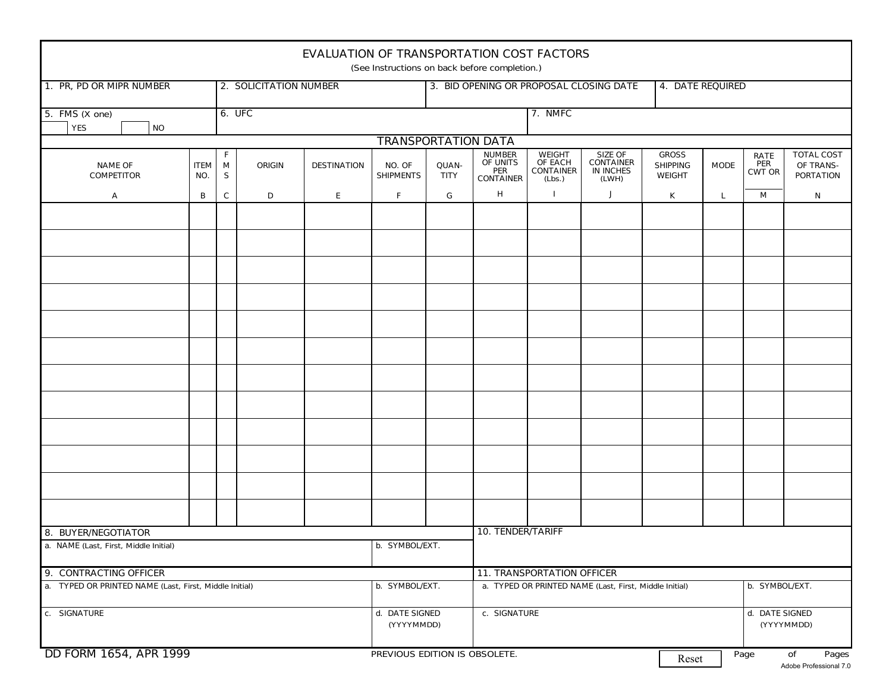| <b>EVALUATION OF TRANSPORTATION COST FACTORS</b><br>(See Instructions on back before completion.) |                        |              |               |                    |                                         |                                                                |                                                        |                                                        |                                                          |                                                  |                              |                                     |                                                    |
|---------------------------------------------------------------------------------------------------|------------------------|--------------|---------------|--------------------|-----------------------------------------|----------------------------------------------------------------|--------------------------------------------------------|--------------------------------------------------------|----------------------------------------------------------|--------------------------------------------------|------------------------------|-------------------------------------|----------------------------------------------------|
| 1. PR, PD OR MIPR NUMBER                                                                          | 2. SOLICITATION NUMBER |              |               |                    | 3. BID OPENING OR PROPOSAL CLOSING DATE |                                                                |                                                        |                                                        | <b>4. DATE REQUIRED</b>                                  |                                                  |                              |                                     |                                                    |
| 5. FMS $(X \text{ one})$<br><b>YES</b><br><b>NO</b>                                               |                        |              | 6. UFC        |                    |                                         |                                                                | 7. NMFC                                                |                                                        |                                                          |                                                  |                              |                                     |                                                    |
| <b>TRANSPORTATION DATA</b>                                                                        |                        |              |               |                    |                                         |                                                                |                                                        |                                                        |                                                          |                                                  |                              |                                     |                                                    |
| <b>NAME OF</b><br><b>COMPETITOR</b>                                                               | <b>ITEM</b><br>NO.     | F<br>M<br>s  | <b>ORIGIN</b> | <b>DESTINATION</b> | NO. OF<br><b>SHIPMENTS</b>              | QUAN-<br><b>TITY</b>                                           | <b>NUMBER</b><br>OF UNITS<br>PER<br><b>CONTAINER</b>   | <b>WEIGHT</b><br>OF EACH<br><b>CONTAINER</b><br>(Lbs.) | SIZE OF<br><b>CONTAINER</b><br><b>IN INCHES</b><br>(LWH) | <b>GROSS</b><br><b>SHIPPING</b><br><b>WEIGHT</b> | <b>MODE</b>                  | <b>RATE</b><br>PER<br><b>CWT OR</b> | <b>TOTAL COST</b><br>OF TRANS-<br><b>PORTATION</b> |
| А                                                                                                 | В                      | $\mathsf{C}$ | D             | E                  | F                                       | G                                                              | H                                                      |                                                        | J                                                        | K                                                | L                            | М                                   | N                                                  |
|                                                                                                   |                        |              |               |                    |                                         |                                                                |                                                        |                                                        |                                                          |                                                  |                              |                                     |                                                    |
|                                                                                                   |                        |              |               |                    |                                         |                                                                |                                                        |                                                        |                                                          |                                                  |                              |                                     |                                                    |
|                                                                                                   |                        |              |               |                    |                                         |                                                                |                                                        |                                                        |                                                          |                                                  |                              |                                     |                                                    |
|                                                                                                   |                        |              |               |                    |                                         |                                                                |                                                        |                                                        |                                                          |                                                  |                              |                                     |                                                    |
|                                                                                                   |                        |              |               |                    |                                         |                                                                |                                                        |                                                        |                                                          |                                                  |                              |                                     |                                                    |
|                                                                                                   |                        |              |               |                    |                                         |                                                                |                                                        |                                                        |                                                          |                                                  |                              |                                     |                                                    |
|                                                                                                   |                        |              |               |                    |                                         |                                                                |                                                        |                                                        |                                                          |                                                  |                              |                                     |                                                    |
|                                                                                                   |                        |              |               |                    |                                         |                                                                |                                                        |                                                        |                                                          |                                                  |                              |                                     |                                                    |
|                                                                                                   |                        |              |               |                    |                                         |                                                                |                                                        |                                                        |                                                          |                                                  |                              |                                     |                                                    |
|                                                                                                   |                        |              |               |                    |                                         |                                                                |                                                        |                                                        |                                                          |                                                  |                              |                                     |                                                    |
|                                                                                                   |                        |              |               |                    |                                         |                                                                |                                                        |                                                        |                                                          |                                                  |                              |                                     |                                                    |
|                                                                                                   |                        |              |               |                    |                                         |                                                                |                                                        |                                                        |                                                          |                                                  |                              |                                     |                                                    |
| 8. BUYER/NEGOTIATOR                                                                               |                        |              |               |                    |                                         |                                                                | <b>10. TENDER/TARIFF</b>                               |                                                        |                                                          |                                                  |                              |                                     |                                                    |
| a. NAME (Last, First, Middle Initial)                                                             |                        |              |               | b. SYMBOL/EXT.     |                                         |                                                                |                                                        |                                                        |                                                          |                                                  |                              |                                     |                                                    |
| 9. CONTRACTING OFFICER                                                                            |                        |              |               |                    |                                         |                                                                | 11. TRANSPORTATION OFFICER                             |                                                        |                                                          |                                                  |                              |                                     |                                                    |
| a. TYPED OR PRINTED NAME (Last, First, Middle Initial)                                            |                        |              |               |                    | b. SYMBOL/EXT.                          |                                                                | a. TYPED OR PRINTED NAME (Last, First, Middle Initial) |                                                        |                                                          |                                                  | b. SYMBOL/EXT.               |                                     |                                                    |
| c. SIGNATURE                                                                                      |                        |              |               |                    | d. DATE SIGNED                          | c. SIGNATURE<br>(YYYYMMDD)                                     |                                                        |                                                        |                                                          |                                                  | d. DATE SIGNED<br>(YYYYMMDD) |                                     |                                                    |
| DD FORM 1654, APR 1999                                                                            |                        |              |               |                    |                                         | PREVIOUS EDITION IS OBSOLETE.<br>of<br>Page<br>$D_{\text{or}}$ |                                                        |                                                        |                                                          | Pages                                            |                              |                                     |                                                    |